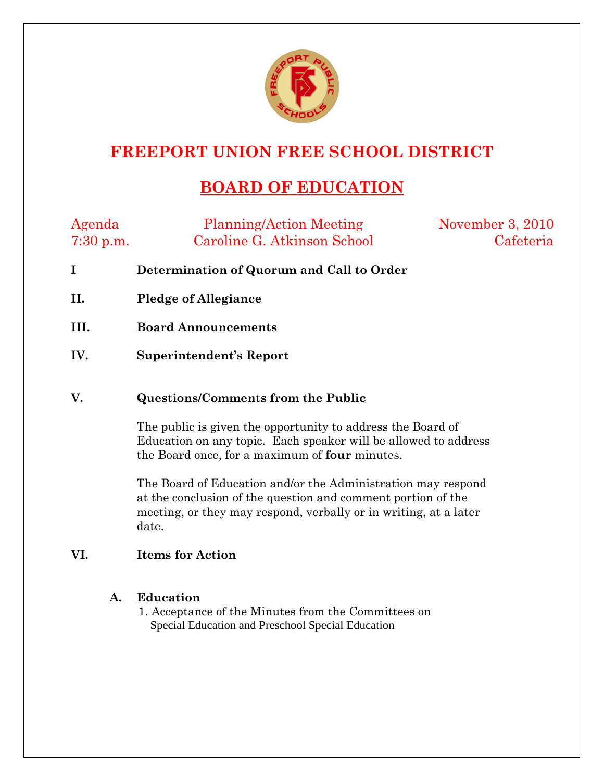

## **FREEPORT UNION FREE SCHOOL DISTRICT**

# **BOARD OF EDUCATION**

| Agenda      | <b>Planning/Action Meeting</b> | November 3, 2010 |
|-------------|--------------------------------|------------------|
| $7:30$ p.m. | Caroline G. Atkinson School    | Cafeteria        |

- **I Determination of Quorum and Call to Order**
- **II. Pledge of Allegiance**
- **III. Board Announcements**
- **IV. Superintendent's Report**

### **V. Questions/Comments from the Public**

The public is given the opportunity to address the Board of Education on any topic. Each speaker will be allowed to address the Board once, for a maximum of **four** minutes.

The Board of Education and/or the Administration may respond at the conclusion of the question and comment portion of the meeting, or they may respond, verbally or in writing, at a later date.

### **VI. Items for Action**

### **A. Education**

1. Acceptance of the Minutes from the Committees on Special Education and Preschool Special Education